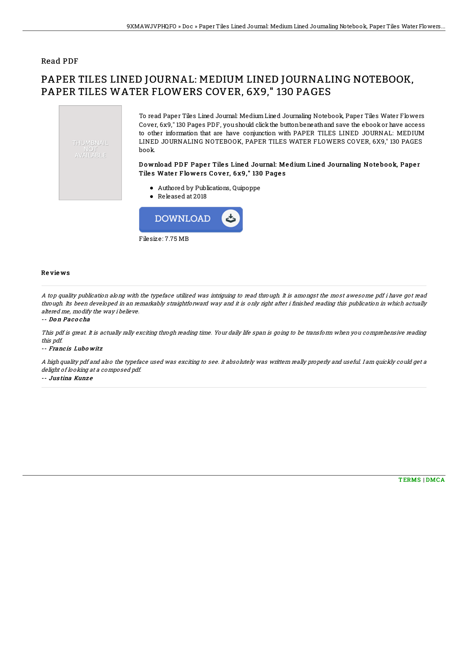### Read PDF

# PAPER TILES LINED JOURNAL: MEDIUM LINED JOURNALING NOTEBOOK, PAPER TILES WATER FLOWERS COVER, 6X9," 130 PAGES





#### Re vie ws

A top quality publication along with the typeface utilized was intriguing to read through. It is amongst the most awesome pdf i have got read through. Its been developed in an remarkably straightforward way and it is only right after i finished reading this publication in which actually altered me, modify the way i believe.

#### -- Do <sup>n</sup> Pac o cha

This pdf is great. It is actually rally exciting throgh reading time. Your daily life span is going to be transform when you comprehensive reading this pdf.

#### -- Franc is Lubo witz

A high quality pdf and also the typeface used was exciting to see. it absolutely was writtern really properly and useful. I am quickly could get <sup>a</sup> delight of looking at <sup>a</sup> composed pdf.

-- Jus tina Kunz e